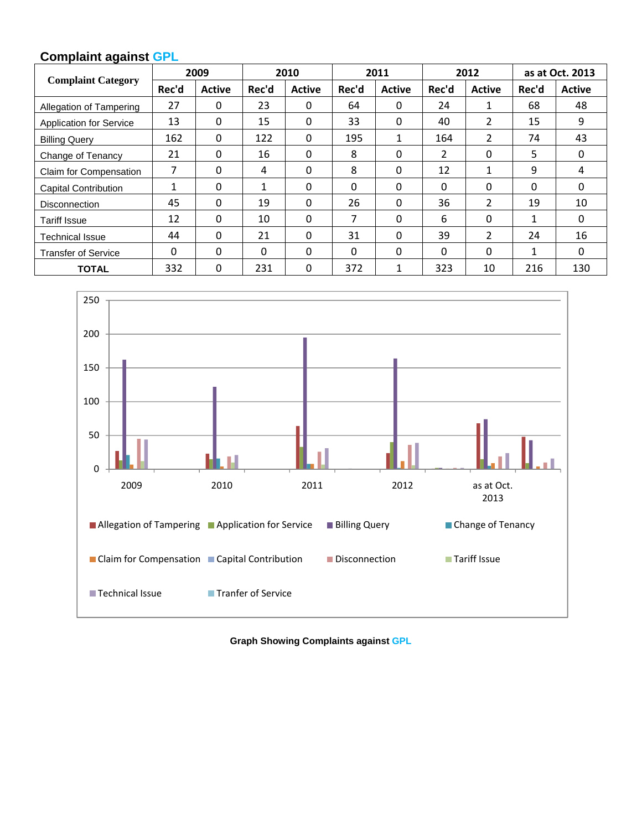## **Complaint against GPL**

| <b>Complaint Category</b>      | 2009         |               | 2010     |               | 2011     |               | 2012     |                | as at Oct. 2013 |               |
|--------------------------------|--------------|---------------|----------|---------------|----------|---------------|----------|----------------|-----------------|---------------|
|                                | Rec'd        | <b>Active</b> | Rec'd    | <b>Active</b> | Rec'd    | <b>Active</b> | Rec'd    | <b>Active</b>  | Rec'd           | <b>Active</b> |
| Allegation of Tampering        | 27           | 0             | 23       | $\mathbf{0}$  | 64       | $\Omega$      | 24       | 1              | 68              | 48            |
| <b>Application for Service</b> | 13           | 0             | 15       | $\Omega$      | 33       | $\Omega$      | 40       | 2              | 15              | 9             |
| <b>Billing Query</b>           | 162          | $\Omega$      | 122      | $\Omega$      | 195      | 1             | 164      | 2              | 74              | 43            |
| Change of Tenancy              | 21           | 0             | 16       | $\mathbf{0}$  | 8        | 0             | 2        | 0              | 5               | $\mathbf{0}$  |
| Claim for Compensation         | 7            | 0             | 4        | $\Omega$      | 8        | $\Omega$      | 12       | 1              | 9               | 4             |
| <b>Capital Contribution</b>    | 1            | 0             | 1        | 0             | 0        | 0             | $\Omega$ | 0              | 0               | 0             |
| Disconnection                  | 45           | 0             | 19       | $\Omega$      | 26       | 0             | 36       | 2              | 19              | 10            |
| <b>Tariff Issue</b>            | 12           | $\Omega$      | 10       | $\Omega$      | 7        | $\Omega$      | 6        | 0              | $\mathbf{1}$    | $\mathbf{0}$  |
| <b>Technical Issue</b>         | 44           | 0             | 21       | $\Omega$      | 31       | $\Omega$      | 39       | $\overline{2}$ | 24              | 16            |
| <b>Transfer of Service</b>     | $\mathbf{0}$ | 0             | $\Omega$ | $\Omega$      | $\Omega$ | $\Omega$      | $\Omega$ | $\Omega$       | 1               | 0             |
| <b>TOTAL</b>                   | 332          | 0             | 231      | $\Omega$      | 372      | $\mathbf{1}$  | 323      | 10             | 216             | 130           |



**Graph Showing Complaints against GPL**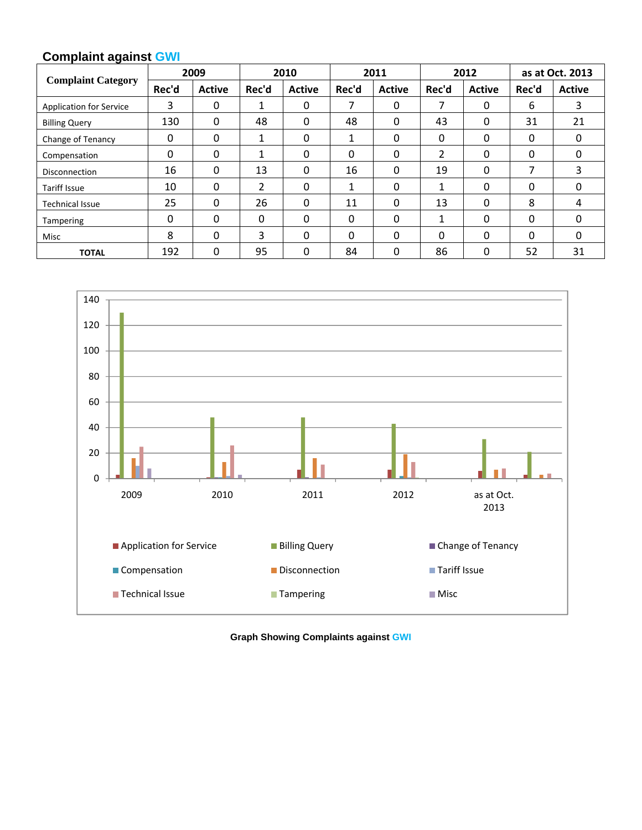## **Complaint against GWI**

| <b>Complaint Category</b>      | 2009  |               | 2010  |               | 2011     |               | 2012     |               | as at Oct. 2013 |               |
|--------------------------------|-------|---------------|-------|---------------|----------|---------------|----------|---------------|-----------------|---------------|
|                                | Rec'd | <b>Active</b> | Rec'd | <b>Active</b> | Rec'd    | <b>Active</b> | Rec'd    | <b>Active</b> | Rec'd           | <b>Active</b> |
| <b>Application for Service</b> | 3     | 0             | 1     | $\Omega$      | 7        | 0             |          | 0             | 6               | 3             |
| <b>Billing Query</b>           | 130   | 0             | 48    | $\Omega$      | 48       | 0             | 43       | 0             | 31              | 21            |
| Change of Tenancy              | 0     | 0             | 1     | $\Omega$      | 1        | 0             | 0        | 0             | 0               | 0             |
| Compensation                   | 0     | 0             | 1     | 0             | 0        | 0             | 2        | 0             | $\Omega$        | 0             |
| <b>Disconnection</b>           | 16    | 0             | 13    | $\Omega$      | 16       | $\Omega$      | 19       | 0             | 7               | 3             |
| <b>Tariff Issue</b>            | 10    | 0             | 2     | $\Omega$      | 1        | 0             | 1        | 0             | 0               | 0             |
| <b>Technical Issue</b>         | 25    | 0             | 26    | $\Omega$      | 11       | 0             | 13       | 0             | 8               | 4             |
| <b>Tampering</b>               | 0     | 0             | 0     | $\Omega$      | 0        | 0             | 1        | 0             | 0               | 0             |
| Misc                           | 8     | $\Omega$      | 3     | 0             | $\Omega$ | $\Omega$      | $\Omega$ | 0             | 0               | 0             |
| <b>TOTAL</b>                   | 192   | 0             | 95    | 0             | 84       | 0             | 86       | 0             | 52              | 31            |



**Graph Showing Complaints against GWI**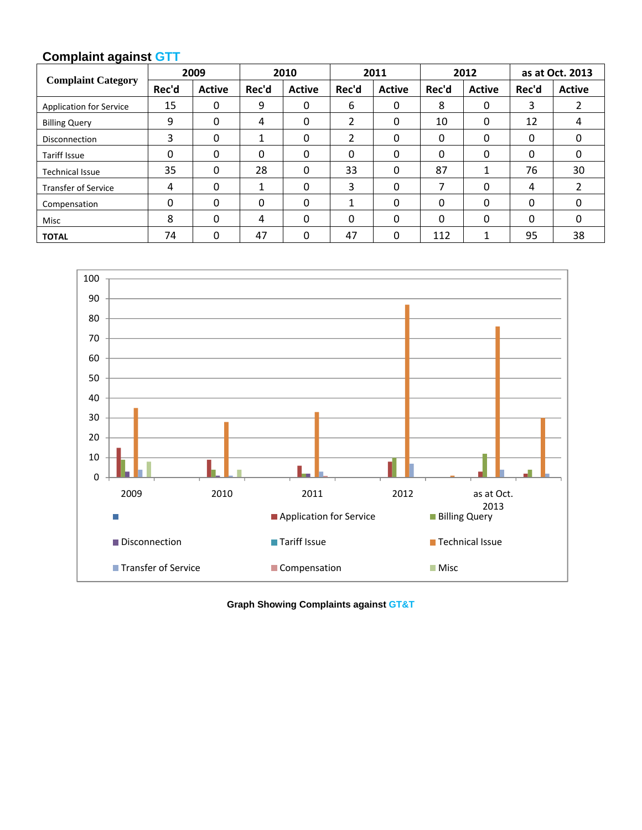## **Complaint against GTT**

| <b>Complaint Category</b>      | 2009  |               | 2010  |               | 2011  |               | 2012  |               | as at Oct. 2013 |               |
|--------------------------------|-------|---------------|-------|---------------|-------|---------------|-------|---------------|-----------------|---------------|
|                                | Rec'd | <b>Active</b> | Rec'd | <b>Active</b> | Rec'd | <b>Active</b> | Rec'd | <b>Active</b> | Rec'd           | <b>Active</b> |
| <b>Application for Service</b> | 15    | 0             | 9     | 0             | 6     | 0             | 8     | 0             | 3               |               |
| <b>Billing Query</b>           | 9     | 0             | 4     | 0             | 2     | $\Omega$      | 10    | 0             | 12              | 4             |
| Disconnection                  | 3     | 0             | 1     | 0             | 2     | 0             | 0     | 0             | 0               | 0             |
| <b>Tariff Issue</b>            | 0     | 0             | 0     | 0             | 0     | $\Omega$      | 0     | 0             | 0               | 0             |
| <b>Technical Issue</b>         | 35    | 0             | 28    | 0             | 33    | $\Omega$      | 87    |               | 76              | 30            |
| <b>Transfer of Service</b>     | 4     | 0             | 1     | 0             | 3     | $\mathbf{0}$  |       | 0             | 4               |               |
| Compensation                   | 0     | 0             | 0     | 0             |       | $\Omega$      | 0     | 0             | $\Omega$        | 0             |
| Misc                           | 8     | 0             | 4     | 0             | 0     | $\Omega$      | 0     | 0             | 0               | 0             |
| <b>TOTAL</b>                   | 74    | 0             | 47    | 0             | 47    | 0             | 112   |               | 95              | 38            |



**Graph Showing Complaints against GT&T**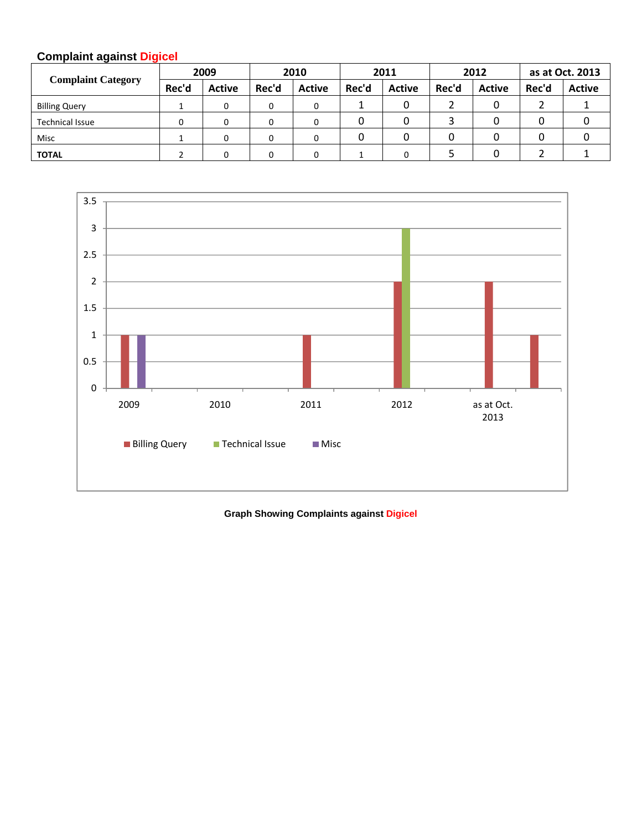## **Complaint against Digicel**

| <b>Complaint Category</b> | 2009  |               | 2010  |               | 2011  |               | 2012  |               | as at Oct. 2013 |               |
|---------------------------|-------|---------------|-------|---------------|-------|---------------|-------|---------------|-----------------|---------------|
|                           | Rec'd | <b>Active</b> | Rec'd | <b>Active</b> | Rec'd | <b>Active</b> | Rec'd | <b>Active</b> | Rec'd           | <b>Active</b> |
| <b>Billing Query</b>      |       |               |       | 0             |       |               |       |               |                 |               |
| <b>Technical Issue</b>    |       |               |       | 0             |       |               |       |               |                 |               |
| Misc                      |       |               |       | 0             |       |               |       |               |                 |               |
| <b>TOTAL</b>              |       |               |       | 0             |       |               |       |               |                 |               |



**Graph Showing Complaints against Digicel**